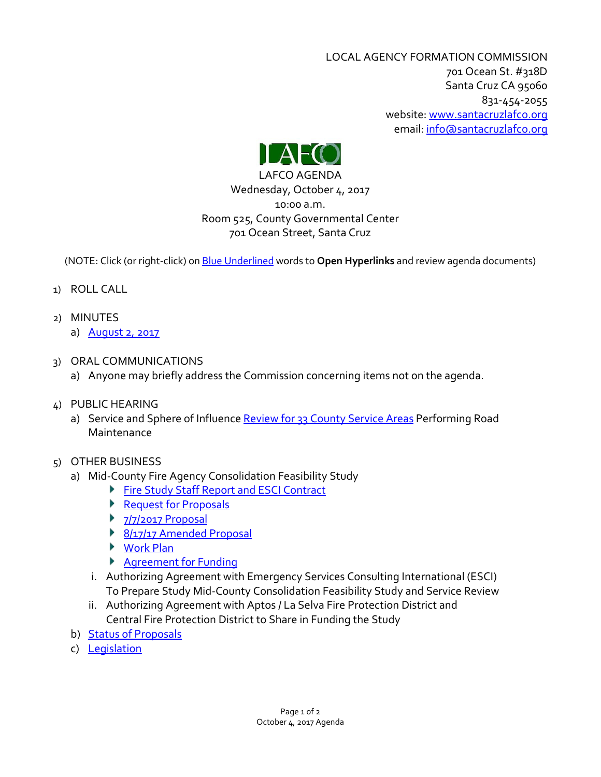LOCAL AGENCY FORMATION COMMISSION 701 Ocean St. #318D Santa Cruz CA 95060 831-454-2055 website: [www.santacruzlafco.org](http://www.santacruzlafco.org/) email[: info@santacruzlafco.org](mailto:info@santacruzlafco.org)



LAFCO AGENDA Wednesday, October 4, 2017 10:00 a.m. Room 525, County Governmental Center 701 Ocean Street, Santa Cruz

(NOTE: Click (or right-click) on Blue Underlined words to **Open Hyperlinks** and review agenda documents)

- 1) ROLL CALL
- 2) MINUTES
	- a) **[August 2, 2017](http://www.santacruzlafco.org/wp-content/uploads/2017/09/8-2-17-Minutes.pdf)**
- 3) ORAL COMMUNICATIONS
	- a) Anyone may briefly address the Commission concerning items not on the agenda.
- 4) PUBLIC HEARING
	- a) Service and Sphere of Influence [Review for 33 County Service Areas](http://www.santacruzlafco.org/wp-content/uploads/2017/09/33-CSAs.pdf) Performing Road Maintenance
- 5) OTHER BUSINESS
	- a) Mid-County Fire Agency Consolidation Feasibility Study
		- **[Fire Study Staff Report](http://www.santacruzlafco.org/wp-content/uploads/2017/09/Fire-Study-Staff-Report.pdf) and ESCI Contract**
		- ▶ [Request for Proposals](http://www.santacruzlafco.org/wp-content/uploads/2017/09/RFP.pdf)
		- $\blacktriangleright$  [7/7/2017 Proposal](http://www.santacruzlafco.org/wp-content/uploads/2017/09/7-7-2017-Proposal.pdf)
		- [8/17/17 Amended Proposal](http://www.santacruzlafco.org/wp-content/uploads/2017/09/8-17-17-Amended-Proposal.pdf)
		- ▶ [Work Plan](http://www.santacruzlafco.org/wp-content/uploads/2017/09/Work-Plan.pdf)
		- Agreement [for Funding](http://www.santacruzlafco.org/wp-content/uploads/2017/09/Agreement-for-Funding.pdf)
		- i. Authorizing Agreement with Emergency Services Consulting International (ESCI) To Prepare Study Mid-County Consolidation Feasibility Study and Service Review
		- ii. Authorizing Agreement with Aptos / La Selva Fire Protection District and Central Fire Protection District to Share in Funding the Study
	- b) [Status of Proposals](http://www.santacruzlafco.org/wp-content/uploads/2017/09/Status-of-Proposals-9-25-17.pdf)
	- c) [Legislation](http://www.santacruzlafco.org/wp-content/uploads/2017/09/Legislation-10-4-17.pdf)